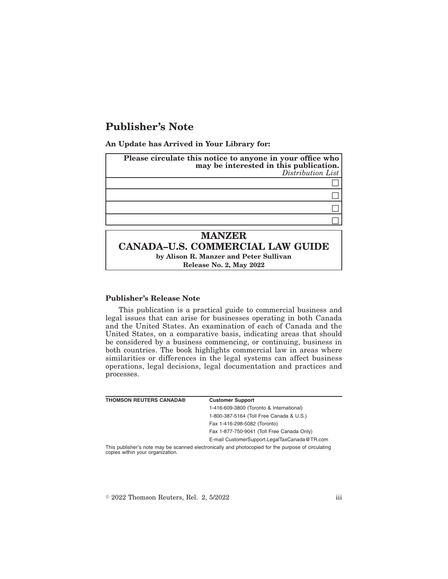## **Publisher's Note**

**An Update has Arrived in Your Library for:**

| Please circulate this notice to anyone in your office who<br>may be interested in this publication.<br>Distribution List |  |
|--------------------------------------------------------------------------------------------------------------------------|--|
|                                                                                                                          |  |
|                                                                                                                          |  |
|                                                                                                                          |  |
|                                                                                                                          |  |
| <b>MANZER</b>                                                                                                            |  |
| <b>CANADA-U.S. COMMERCIAL LAW GUIDE</b>                                                                                  |  |
| by Alison R. Manzer and Peter Sullivan                                                                                   |  |
| Release No. 2, May 2022                                                                                                  |  |

## **Publisher's Release Note**

This publication is a practical guide to commercial business and legal issues that can arise for businesses operating in both Canada and the United States. An examination of each of Canada and the United States, on a comparative basis, indicating areas that should be considered by a business commencing, or continuing, business in both countries. The book highlights commercial law in areas where similarities or differences in the legal systems can affect business operations, legal decisions, legal documentation and practices and processes.

| <b>THOMSON REUTERS CANADA®</b>   | <b>Customer Support</b>                                                                            |
|----------------------------------|----------------------------------------------------------------------------------------------------|
|                                  | 1-416-609-3800 (Toronto & International)                                                           |
|                                  | 1-800-387-5164 (Toll Free Canada & U.S.)                                                           |
|                                  | Fax 1-416-298-5082 (Toronto)                                                                       |
|                                  | Fax 1-877-750-9041 (Toll Free Canada Only)                                                         |
|                                  | E-mail CustomerSupport.LegalTaxCanada@TR.com                                                       |
| copies within your organization. | This publisher's note may be scanned electronically and photocopied for the purpose of circulating |

 $\textdegree$  2022 Thomson Reuters, Rel. 2, 5/2022 iii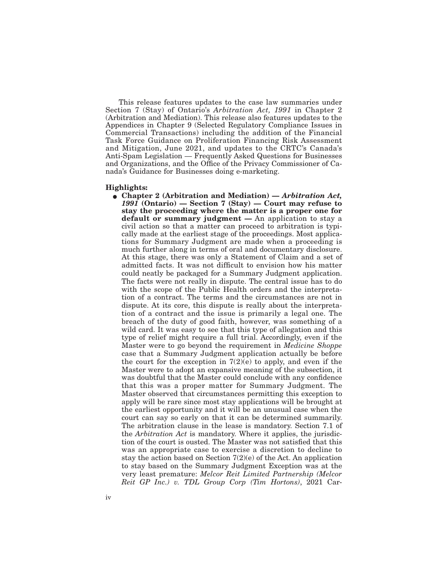This release features updates to the case law summaries under Section 7 (Stay) of Ontario's *Arbitration Act, 1991* in Chapter 2 (Arbitration and Mediation). This release also features updates to the Appendices in Chapter 9 (Selected Regulatory Compliance Issues in Commercial Transactions) including the addition of the Financial Task Force Guidance on Proliferation Financing Risk Assessment and Mitigation, June 2021, and updates to the CRTC's Canada's Anti-Spam Legislation — Frequently Asked Questions for Businesses and Organizations, and the Office of the Privacy Commissioner of Canada's Guidance for Businesses doing e-marketing.

## **Highlights:**

E **Chapter 2 (Arbitration and Mediation) —** *Arbitration Act, 1991* **(Ontario) — Section 7 (Stay) — Court may refuse to stay the proceeding where the matter is a proper one for default or summary judgment —** An application to stay a civil action so that a matter can proceed to arbitration is typically made at the earliest stage of the proceedings. Most applications for Summary Judgment are made when a proceeding is much further along in terms of oral and documentary disclosure. At this stage, there was only a Statement of Claim and a set of admitted facts. It was not difficult to envision how his matter could neatly be packaged for a Summary Judgment application. The facts were not really in dispute. The central issue has to do with the scope of the Public Health orders and the interpretation of a contract. The terms and the circumstances are not in dispute. At its core, this dispute is really about the interpretation of a contract and the issue is primarily a legal one. The breach of the duty of good faith, however, was something of a wild card. It was easy to see that this type of allegation and this type of relief might require a full trial. Accordingly, even if the Master were to go beyond the requirement in *Medicine Shoppe* case that a Summary Judgment application actually be before the court for the exception in  $7(2)(e)$  to apply, and even if the Master were to adopt an expansive meaning of the subsection, it was doubtful that the Master could conclude with any confidence that this was a proper matter for Summary Judgment. The Master observed that circumstances permitting this exception to apply will be rare since most stay applications will be brought at the earliest opportunity and it will be an unusual case when the court can say so early on that it can be determined summarily. The arbitration clause in the lease is mandatory. Section 7.1 of the *Arbitration Act* is mandatory. Where it applies, the jurisdiction of the court is ousted. The Master was not satisfied that this was an appropriate case to exercise a discretion to decline to stay the action based on Section 7(2)(e) of the Act. An application to stay based on the Summary Judgment Exception was at the very least premature: *Melcor Reit Limited Partnership (Melcor Reit GP Inc.) v. TDL Group Corp (Tim Hortons)*, 2021 Car